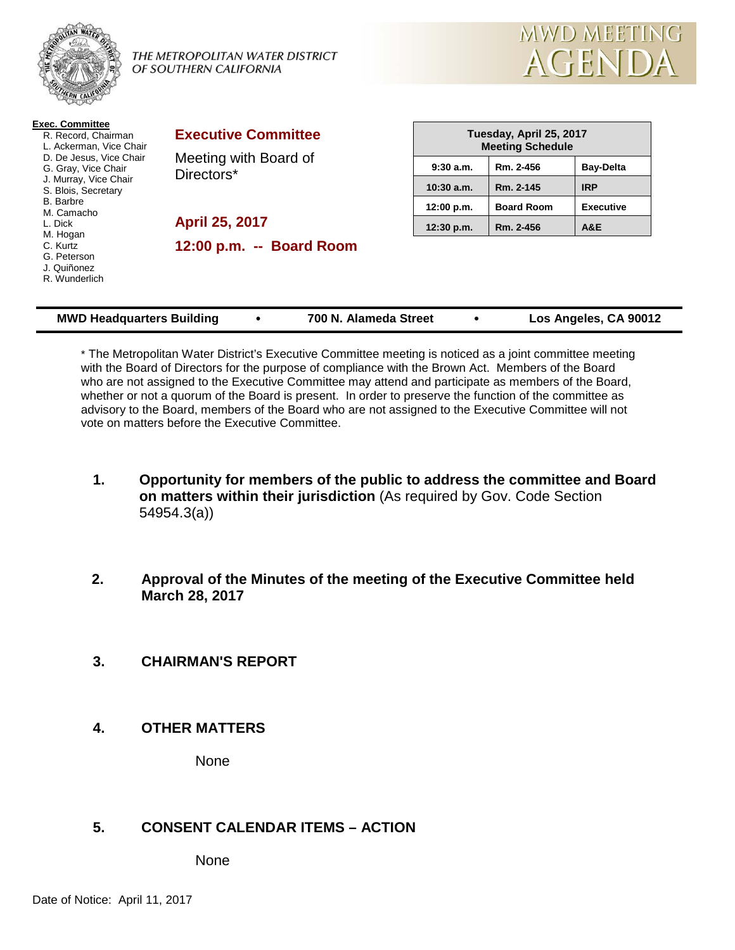

**Exec. Committee**

#### THE METROPOLITAN WATER DISTRICT OF SOUTHERN CALIFORNIA



| LACU. UUIIIIIIIIICC<br>R. Record, Chairman<br>L. Ackerman, Vice Chair<br>D. De Jesus. Vice Chair<br>G. Gray, Vice Chair<br>J. Murray, Vice Chair<br>S. Blois, Secretary<br><b>B.</b> Barbre<br>M. Camacho<br>L. Dick<br>M. Hogan<br>C. Kurtz<br>G. Peterson<br>J. Quiñonez<br>R. Wunderlich | <b>Executive Committee</b><br>Meeting with Board of<br>Directors* |              | Tuesday, April 25, 2017<br><b>Meeting Schedule</b> |                  |  |
|---------------------------------------------------------------------------------------------------------------------------------------------------------------------------------------------------------------------------------------------------------------------------------------------|-------------------------------------------------------------------|--------------|----------------------------------------------------|------------------|--|
|                                                                                                                                                                                                                                                                                             |                                                                   | 9:30a.m.     | Rm. 2-456                                          | <b>Bay-Delta</b> |  |
|                                                                                                                                                                                                                                                                                             |                                                                   | $10:30$ a.m. | Rm. 2-145                                          | <b>IRP</b>       |  |
|                                                                                                                                                                                                                                                                                             | April 25, 2017                                                    | 12:00 p.m.   | <b>Board Room</b>                                  | <b>Executive</b> |  |
|                                                                                                                                                                                                                                                                                             |                                                                   | 12:30 p.m.   | Rm. 2-456                                          | A&E              |  |
|                                                                                                                                                                                                                                                                                             | 12:00 p.m. -- Board Room                                          |              |                                                    |                  |  |

\* The Metropolitan Water District's Executive Committee meeting is noticed as a joint committee meeting with the Board of Directors for the purpose of compliance with the Brown Act. Members of the Board who are not assigned to the Executive Committee may attend and participate as members of the Board, whether or not a quorum of the Board is present. In order to preserve the function of the committee as advisory to the Board, members of the Board who are not assigned to the Executive Committee will not vote on matters before the Executive Committee.

**MWD Headquarters Building 700 N. Alameda Street Los Angeles, CA 90012**

- **1. Opportunity for members of the public to address the committee and Board on matters within their jurisdiction** (As required by Gov. Code Section 54954.3(a))
- **2. Approval of the Minutes of the meeting of the Executive Committee held March 28, 2017**
- **3. CHAIRMAN'S REPORT**
- **4. OTHER MATTERS**

None

# **5. CONSENT CALENDAR ITEMS – ACTION**

None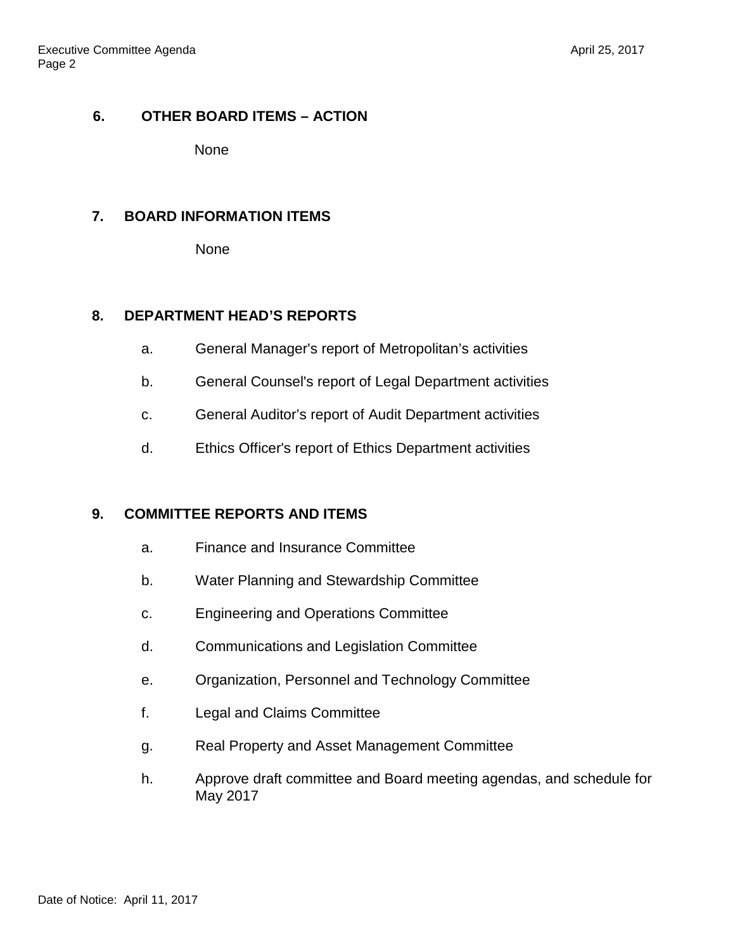# **6. OTHER BOARD ITEMS – ACTION**

None

# **7. BOARD INFORMATION ITEMS**

None

# **8. DEPARTMENT HEAD'S REPORTS**

- a. General Manager's report of Metropolitan's activities
- b. General Counsel's report of Legal Department activities
- c. General Auditor's report of Audit Department activities
- d. Ethics Officer's report of Ethics Department activities

# **9. COMMITTEE REPORTS AND ITEMS**

- a. Finance and Insurance Committee
- b. Water Planning and Stewardship Committee
- c. Engineering and Operations Committee
- d. Communications and Legislation Committee
- e. Organization, Personnel and Technology Committee
- f. Legal and Claims Committee
- g. Real Property and Asset Management Committee
- h. Approve draft committee and Board meeting agendas, and schedule for May 2017